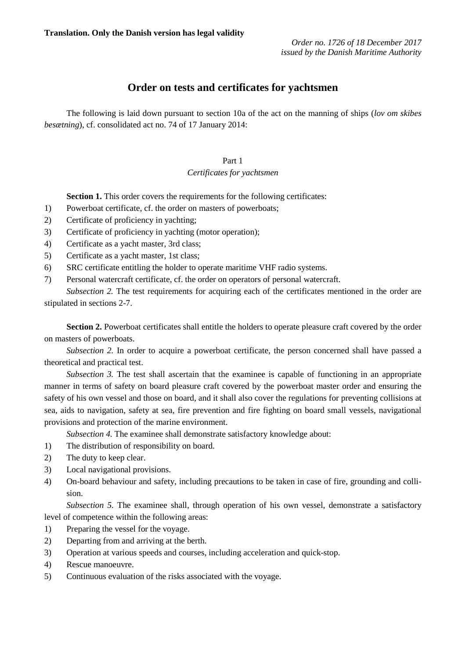*Order no. 1726 of 18 December 2017 issued by the Danish Maritime Authority*

# **Order on tests and certificates for yachtsmen**

The following is laid down pursuant to section 10a of the act on the manning of ships (*lov om skibes besætning*), cf. consolidated act no. 74 of 17 January 2014:

### Part 1

### *Certificates for yachtsmen*

**Section 1.** This order covers the requirements for the following certificates:

- 1) Powerboat certificate, cf. the order on masters of powerboats;
- 2) Certificate of proficiency in yachting;
- 3) Certificate of proficiency in yachting (motor operation);
- 4) Certificate as a yacht master, 3rd class;
- 5) Certificate as a yacht master, 1st class;
- 6) SRC certificate entitling the holder to operate maritime VHF radio systems.
- 7) Personal watercraft certificate, cf. the order on operators of personal watercraft.

*Subsection 2.* The test requirements for acquiring each of the certificates mentioned in the order are stipulated in sections 2-7.

**Section 2.** Powerboat certificates shall entitle the holders to operate pleasure craft covered by the order on masters of powerboats.

*Subsection 2.* In order to acquire a powerboat certificate, the person concerned shall have passed a theoretical and practical test.

*Subsection 3.* The test shall ascertain that the examinee is capable of functioning in an appropriate manner in terms of safety on board pleasure craft covered by the powerboat master order and ensuring the safety of his own vessel and those on board, and it shall also cover the regulations for preventing collisions at sea, aids to navigation, safety at sea, fire prevention and fire fighting on board small vessels, navigational provisions and protection of the marine environment.

*Subsection 4.* The examinee shall demonstrate satisfactory knowledge about:

- 1) The distribution of responsibility on board.
- 2) The duty to keep clear.
- 3) Local navigational provisions.
- 4) On-board behaviour and safety, including precautions to be taken in case of fire, grounding and collision.

*Subsection 5.* The examinee shall, through operation of his own vessel, demonstrate a satisfactory level of competence within the following areas:

- 1) Preparing the vessel for the voyage.
- 2) Departing from and arriving at the berth.
- 3) Operation at various speeds and courses, including acceleration and quick-stop.
- 4) Rescue manoeuvre.
- 5) Continuous evaluation of the risks associated with the voyage.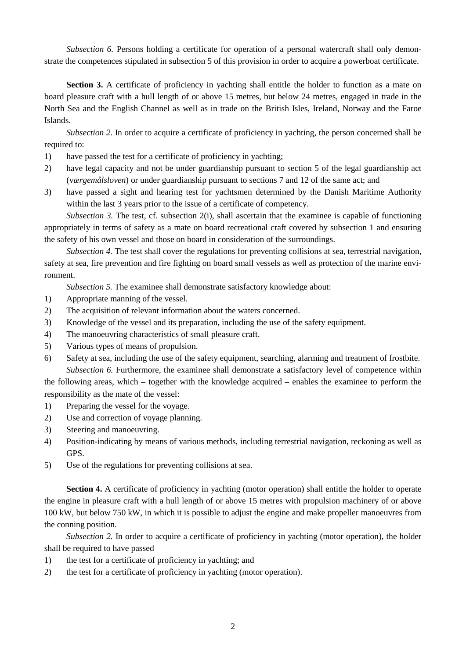*Subsection 6.* Persons holding a certificate for operation of a personal watercraft shall only demonstrate the competences stipulated in subsection 5 of this provision in order to acquire a powerboat certificate.

**Section 3.** A certificate of proficiency in yachting shall entitle the holder to function as a mate on board pleasure craft with a hull length of or above 15 metres, but below 24 metres, engaged in trade in the North Sea and the English Channel as well as in trade on the British Isles, Ireland, Norway and the Faroe Islands.

*Subsection 2.* In order to acquire a certificate of proficiency in yachting, the person concerned shall be required to:

- 1) have passed the test for a certificate of proficiency in yachting;
- 2) have legal capacity and not be under guardianship pursuant to section 5 of the legal guardianship act (v*ærgemålsloven*) or under guardianship pursuant to sections 7 and 12 of the same act; and
- 3) have passed a sight and hearing test for yachtsmen determined by the Danish Maritime Authority within the last 3 years prior to the issue of a certificate of competency.

*Subsection 3.* The test, cf. subsection 2(i), shall ascertain that the examinee is capable of functioning appropriately in terms of safety as a mate on board recreational craft covered by subsection 1 and ensuring the safety of his own vessel and those on board in consideration of the surroundings.

*Subsection 4.* The test shall cover the regulations for preventing collisions at sea, terrestrial navigation, safety at sea, fire prevention and fire fighting on board small vessels as well as protection of the marine environment.

*Subsection 5.* The examinee shall demonstrate satisfactory knowledge about:

- 1) Appropriate manning of the vessel.
- 2) The acquisition of relevant information about the waters concerned.
- 3) Knowledge of the vessel and its preparation, including the use of the safety equipment.
- 4) The manoeuvring characteristics of small pleasure craft.
- 5) Various types of means of propulsion.
- 6) Safety at sea, including the use of the safety equipment, searching, alarming and treatment of frostbite. *Subsection 6.* Furthermore, the examinee shall demonstrate a satisfactory level of competence within

the following areas, which – together with the knowledge acquired – enables the examinee to perform the responsibility as the mate of the vessel:

- 1) Preparing the vessel for the voyage.
- 2) Use and correction of voyage planning.
- 3) Steering and manoeuvring.
- 4) Position-indicating by means of various methods, including terrestrial navigation, reckoning as well as GPS.
- 5) Use of the regulations for preventing collisions at sea.

**Section 4.** A certificate of proficiency in yachting (motor operation) shall entitle the holder to operate the engine in pleasure craft with a hull length of or above 15 metres with propulsion machinery of or above 100 kW, but below 750 kW, in which it is possible to adjust the engine and make propeller manoeuvres from the conning position.

*Subsection 2.* In order to acquire a certificate of proficiency in yachting (motor operation), the holder shall be required to have passed

- 1) the test for a certificate of proficiency in yachting; and
- 2) the test for a certificate of proficiency in yachting (motor operation).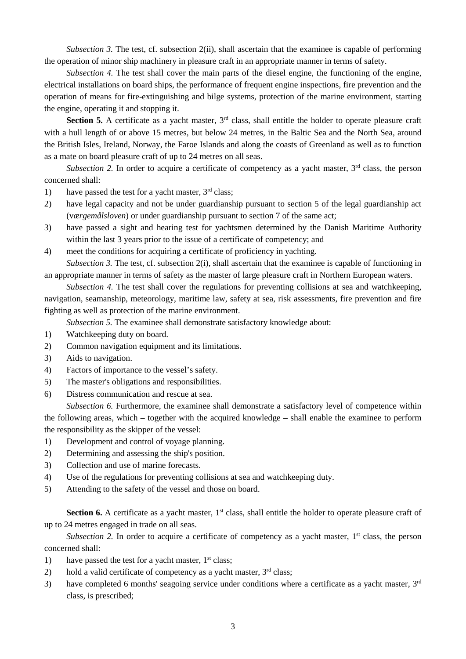*Subsection 3.* The test, cf. subsection 2(ii), shall ascertain that the examinee is capable of performing the operation of minor ship machinery in pleasure craft in an appropriate manner in terms of safety.

*Subsection 4.* The test shall cover the main parts of the diesel engine, the functioning of the engine, electrical installations on board ships, the performance of frequent engine inspections, fire prevention and the operation of means for fire-extinguishing and bilge systems, protection of the marine environment, starting the engine, operating it and stopping it.

**Section 5.** A certificate as a vacht master,  $3<sup>rd</sup>$  class, shall entitle the holder to operate pleasure craft with a hull length of or above 15 metres, but below 24 metres, in the Baltic Sea and the North Sea, around the British Isles, Ireland, Norway, the Faroe Islands and along the coasts of Greenland as well as to function as a mate on board pleasure craft of up to 24 metres on all seas.

*Subsection 2.* In order to acquire a certificate of competency as a yacht master, 3<sup>rd</sup> class, the person concerned shall:

- 1) have passed the test for a yacht master,  $3<sup>rd</sup>$  class;
- 2) have legal capacity and not be under guardianship pursuant to section 5 of the legal guardianship act (v*ærgemålsloven*) or under guardianship pursuant to section 7 of the same act;
- 3) have passed a sight and hearing test for yachtsmen determined by the Danish Maritime Authority within the last 3 years prior to the issue of a certificate of competency; and
- 4) meet the conditions for acquiring a certificate of proficiency in yachting.

*Subsection 3.* The test, cf. subsection 2(i), shall ascertain that the examinee is capable of functioning in an appropriate manner in terms of safety as the master of large pleasure craft in Northern European waters.

*Subsection 4.* The test shall cover the regulations for preventing collisions at sea and watchkeeping, navigation, seamanship, meteorology, maritime law, safety at sea, risk assessments, fire prevention and fire fighting as well as protection of the marine environment.

*Subsection 5.* The examinee shall demonstrate satisfactory knowledge about:

- 1) Watchkeeping duty on board.
- 2) Common navigation equipment and its limitations.
- 3) Aids to navigation.
- 4) Factors of importance to the vessel's safety.
- 5) The master's obligations and responsibilities.
- 6) Distress communication and rescue at sea.

*Subsection 6.* Furthermore, the examinee shall demonstrate a satisfactory level of competence within the following areas, which – together with the acquired knowledge – shall enable the examinee to perform the responsibility as the skipper of the vessel:

- 1) Development and control of voyage planning.
- 2) Determining and assessing the ship's position.
- 3) Collection and use of marine forecasts.
- 4) Use of the regulations for preventing collisions at sea and watchkeeping duty.
- 5) Attending to the safety of the vessel and those on board.

**Section 6.** A certificate as a yacht master, 1<sup>st</sup> class, shall entitle the holder to operate pleasure craft of up to 24 metres engaged in trade on all seas.

*Subsection 2.* In order to acquire a certificate of competency as a yacht master, 1<sup>st</sup> class, the person concerned shall:

- 1) have passed the test for a yacht master,  $1<sup>st</sup> class$ ;
- 2) hold a valid certificate of competency as a yacht master,  $3<sup>rd</sup>$  class;
- 3) have completed 6 months' seagoing service under conditions where a certificate as a yacht master,  $3<sup>rd</sup>$ class, is prescribed;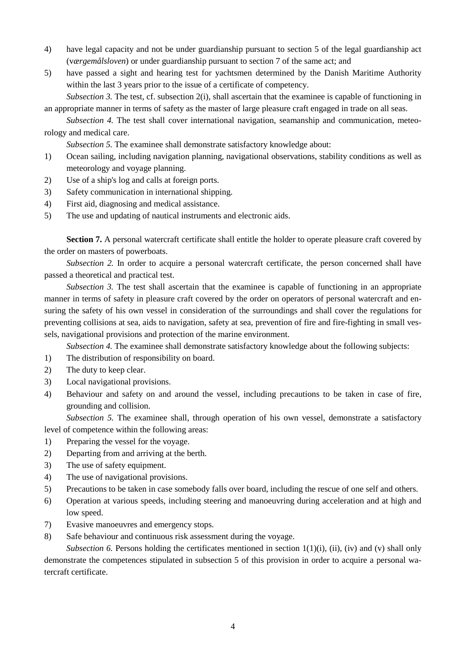- 4) have legal capacity and not be under guardianship pursuant to section 5 of the legal guardianship act (v*ærgemålsloven*) or under guardianship pursuant to section 7 of the same act; and
- 5) have passed a sight and hearing test for yachtsmen determined by the Danish Maritime Authority within the last 3 years prior to the issue of a certificate of competency. *Subsection 3.* The test, cf. subsection 2(i), shall ascertain that the examinee is capable of functioning in

an appropriate manner in terms of safety as the master of large pleasure craft engaged in trade on all seas.

*Subsection 4.* The test shall cover international navigation, seamanship and communication, meteorology and medical care.

*Subsection 5.* The examinee shall demonstrate satisfactory knowledge about:

- 1) Ocean sailing, including navigation planning, navigational observations, stability conditions as well as meteorology and voyage planning.
- 2) Use of a ship's log and calls at foreign ports.
- 3) Safety communication in international shipping.
- 4) First aid, diagnosing and medical assistance.
- 5) The use and updating of nautical instruments and electronic aids.

**Section 7.** A personal watercraft certificate shall entitle the holder to operate pleasure craft covered by the order on masters of powerboats.

*Subsection 2.* In order to acquire a personal watercraft certificate, the person concerned shall have passed a theoretical and practical test.

*Subsection 3.* The test shall ascertain that the examinee is capable of functioning in an appropriate manner in terms of safety in pleasure craft covered by the order on operators of personal watercraft and ensuring the safety of his own vessel in consideration of the surroundings and shall cover the regulations for preventing collisions at sea, aids to navigation, safety at sea, prevention of fire and fire-fighting in small vessels, navigational provisions and protection of the marine environment.

*Subsection 4.* The examinee shall demonstrate satisfactory knowledge about the following subjects:

- 1) The distribution of responsibility on board.
- 2) The duty to keep clear.
- 3) Local navigational provisions.
- 4) Behaviour and safety on and around the vessel, including precautions to be taken in case of fire, grounding and collision.

*Subsection 5.* The examinee shall, through operation of his own vessel, demonstrate a satisfactory level of competence within the following areas:

- 1) Preparing the vessel for the voyage.
- 2) Departing from and arriving at the berth.
- 3) The use of safety equipment.
- 4) The use of navigational provisions.
- 5) Precautions to be taken in case somebody falls over board, including the rescue of one self and others.
- 6) Operation at various speeds, including steering and manoeuvring during acceleration and at high and low speed.
- 7) Evasive manoeuvres and emergency stops.
- 8) Safe behaviour and continuous risk assessment during the voyage.

*Subsection 6.* Persons holding the certificates mentioned in section 1(1)(i), (ii), (iv) and (v) shall only demonstrate the competences stipulated in subsection 5 of this provision in order to acquire a personal watercraft certificate.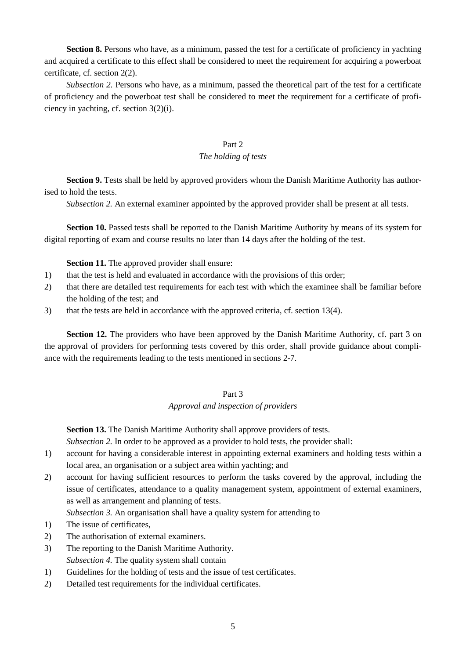**Section 8.** Persons who have, as a minimum, passed the test for a certificate of proficiency in yachting and acquired a certificate to this effect shall be considered to meet the requirement for acquiring a powerboat certificate, cf. section 2(2).

*Subsection 2.* Persons who have, as a minimum, passed the theoretical part of the test for a certificate of proficiency and the powerboat test shall be considered to meet the requirement for a certificate of proficiency in yachting, cf. section 3(2)(i).

### Part 2

### *The holding of tests*

**Section 9.** Tests shall be held by approved providers whom the Danish Maritime Authority has authorised to hold the tests.

*Subsection 2.* An external examiner appointed by the approved provider shall be present at all tests.

**Section 10.** Passed tests shall be reported to the Danish Maritime Authority by means of its system for digital reporting of exam and course results no later than 14 days after the holding of the test.

**Section 11.** The approved provider shall ensure:

- 1) that the test is held and evaluated in accordance with the provisions of this order;
- 2) that there are detailed test requirements for each test with which the examinee shall be familiar before the holding of the test; and
- 3) that the tests are held in accordance with the approved criteria, cf. section 13(4).

**Section 12.** The providers who have been approved by the Danish Maritime Authority, cf. part 3 on the approval of providers for performing tests covered by this order, shall provide guidance about compliance with the requirements leading to the tests mentioned in sections 2-7.

### Part 3

#### *Approval and inspection of providers*

**Section 13.** The Danish Maritime Authority shall approve providers of tests.

*Subsection 2.* In order to be approved as a provider to hold tests, the provider shall:

- 1) account for having a considerable interest in appointing external examiners and holding tests within a local area, an organisation or a subject area within yachting; and
- 2) account for having sufficient resources to perform the tasks covered by the approval, including the issue of certificates, attendance to a quality management system, appointment of external examiners, as well as arrangement and planning of tests.

*Subsection 3.* An organisation shall have a quality system for attending to

- 1) The issue of certificates,
- 2) The authorisation of external examiners.
- 3) The reporting to the Danish Maritime Authority. *Subsection 4.* The quality system shall contain
- 1) Guidelines for the holding of tests and the issue of test certificates.
- 2) Detailed test requirements for the individual certificates.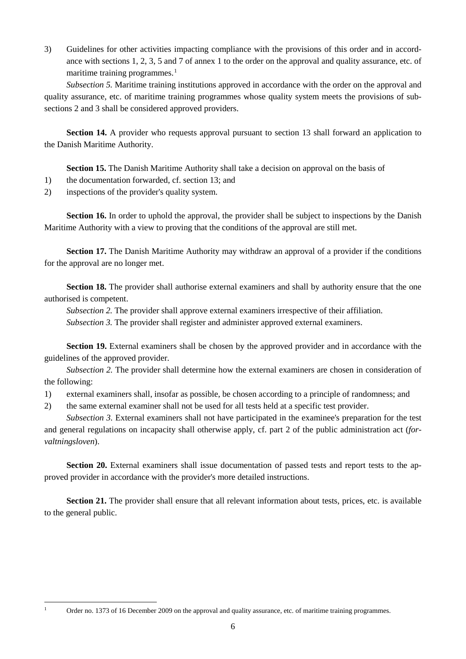3) Guidelines for other activities impacting compliance with the provisions of this order and in accordance with sections 1, 2, 3, 5 and 7 of annex 1 to the order on the approval and quality assurance, etc. of maritime training programmes. $<sup>1</sup>$  $<sup>1</sup>$  $<sup>1</sup>$ </sup>

*Subsection 5.* Maritime training institutions approved in accordance with the order on the approval and quality assurance, etc. of maritime training programmes whose quality system meets the provisions of subsections 2 and 3 shall be considered approved providers.

**Section 14.** A provider who requests approval pursuant to section 13 shall forward an application to the Danish Maritime Authority.

**Section 15.** The Danish Maritime Authority shall take a decision on approval on the basis of

- 1) the documentation forwarded, cf. section 13; and
- 2) inspections of the provider's quality system.

**Section 16.** In order to uphold the approval, the provider shall be subject to inspections by the Danish Maritime Authority with a view to proving that the conditions of the approval are still met.

**Section 17.** The Danish Maritime Authority may withdraw an approval of a provider if the conditions for the approval are no longer met.

**Section 18.** The provider shall authorise external examiners and shall by authority ensure that the one authorised is competent.

*Subsection 2.* The provider shall approve external examiners irrespective of their affiliation.

*Subsection 3.* The provider shall register and administer approved external examiners.

**Section 19.** External examiners shall be chosen by the approved provider and in accordance with the guidelines of the approved provider.

*Subsection 2.* The provider shall determine how the external examiners are chosen in consideration of the following:

- 1) external examiners shall, insofar as possible, be chosen according to a principle of randomness; and
- 2) the same external examiner shall not be used for all tests held at a specific test provider.

*Subsection 3.* External examiners shall not have participated in the examinee's preparation for the test and general regulations on incapacity shall otherwise apply, cf. part 2 of the public administration act (*forvaltningsloven*).

**Section 20.** External examiners shall issue documentation of passed tests and report tests to the approved provider in accordance with the provider's more detailed instructions.

**Section 21.** The provider shall ensure that all relevant information about tests, prices, etc. is available to the general public.

<span id="page-5-0"></span><sup>&</sup>lt;sup>1</sup> Order no. 1373 of 16 December 2009 on the approval and quality assurance, etc. of maritime training programmes.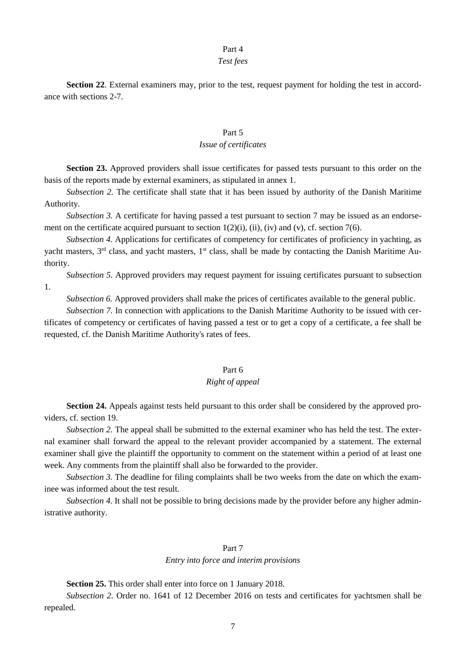### Part 4

#### *Test fees*

**Section 22.** External examiners may, prior to the test, request payment for holding the test in accordance with sections 2-7.

## Part 5 *Issue of certificates*

**Section 23.** Approved providers shall issue certificates for passed tests pursuant to this order on the basis of the reports made by external examiners, as stipulated in annex 1.

*Subsection 2.* The certificate shall state that it has been issued by authority of the Danish Maritime Authority.

*Subsection 3.* A certificate for having passed a test pursuant to section 7 may be issued as an endorsement on the certificate acquired pursuant to section  $1(2)(i)$ ,  $(ii)$ ,  $(iv)$  and  $(v)$ , cf. section 7(6).

*Subsection 4.* Applications for certificates of competency for certificates of proficiency in yachting, as yacht masters,  $3<sup>rd</sup>$  class, and yacht masters,  $1<sup>st</sup>$  class, shall be made by contacting the Danish Maritime Authority.

*Subsection 5.* Approved providers may request payment for issuing certificates pursuant to subsection 1.

*Subsection 6.* Approved providers shall make the prices of certificates available to the general public.

*Subsection 7.* In connection with applications to the Danish Maritime Authority to be issued with certificates of competency or certificates of having passed a test or to get a copy of a certificate, a fee shall be requested, cf. the Danish Maritime Authority's rates of fees.

#### Part 6

### *Right of appeal*

**Section 24.** Appeals against tests held pursuant to this order shall be considered by the approved providers, cf. section 19.

*Subsection 2.* The appeal shall be submitted to the external examiner who has held the test. The external examiner shall forward the appeal to the relevant provider accompanied by a statement. The external examiner shall give the plaintiff the opportunity to comment on the statement within a period of at least one week. Any comments from the plaintiff shall also be forwarded to the provider.

*Subsection 3.* The deadline for filing complaints shall be two weeks from the date on which the examinee was informed about the test result.

*Subsection 4.* It shall not be possible to bring decisions made by the provider before any higher administrative authority.

#### Part 7

#### *Entry into force and interim provisions*

**Section 25.** This order shall enter into force on 1 January 2018.

*Subsection 2.* Order no. 1641 of 12 December 2016 on tests and certificates for yachtsmen shall be repealed.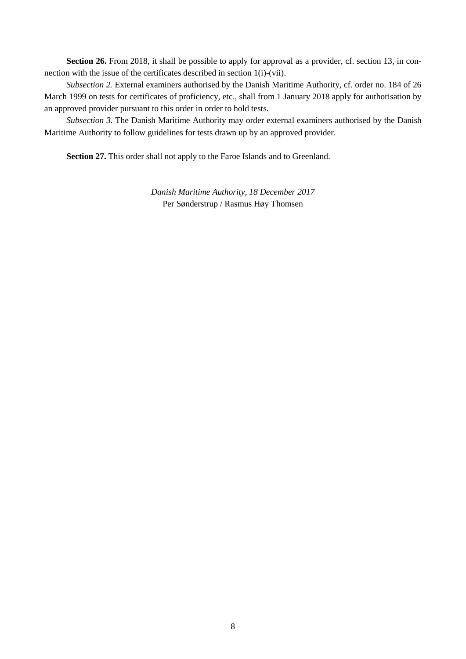**Section 26.** From 2018, it shall be possible to apply for approval as a provider, cf. section 13, in connection with the issue of the certificates described in section 1(i)-(vii).

*Subsection 2.* External examiners authorised by the Danish Maritime Authority, cf. order no. 184 of 26 March 1999 on tests for certificates of proficiency, etc., shall from 1 January 2018 apply for authorisation by an approved provider pursuant to this order in order to hold tests.

*Subsection 3.* The Danish Maritime Authority may order external examiners authorised by the Danish Maritime Authority to follow guidelines for tests drawn up by an approved provider.

**Section 27.** This order shall not apply to the Faroe Islands and to Greenland.

*Danish Maritime Authority, 18 December 2017* Per Sønderstrup / Rasmus Høy Thomsen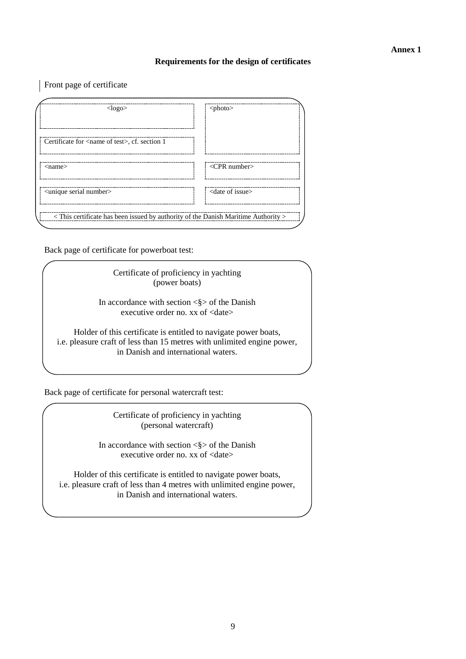### **Requirements for the design of certificates**

Front page of certificate

| $<$ logo $>$                                                                                                | $<$ photo $>$                  |
|-------------------------------------------------------------------------------------------------------------|--------------------------------|
|                                                                                                             |                                |
| Certificate for <name of="" test="">, cf. section 1</name>                                                  |                                |
| $<$ name $>$                                                                                                | $\langle$ CPR number $\rangle$ |
| <unique number="" serial=""></unique>                                                                       | <date issue="" of=""></date>   |
|                                                                                                             |                                |
| <this authority="" been="" by="" certificate="" danish="" has="" issued="" maritime="" of="" the=""></this> |                                |

Back page of certificate for powerboat test:

Certificate of proficiency in yachting (power boats)

In accordance with section  $\langle \S \rangle$  of the Danish executive order no. xx of <date>

Holder of this certificate is entitled to navigate power boats, i.e. pleasure craft of less than 15 metres with unlimited engine power, in Danish and international waters.

Back page of certificate for personal watercraft test:

Certificate of proficiency in yachting (personal watercraft)

In accordance with section <§> of the Danish executive order no. xx of <date>

Holder of this certificate is entitled to navigate power boats, i.e. pleasure craft of less than 4 metres with unlimited engine power, in Danish and international waters.